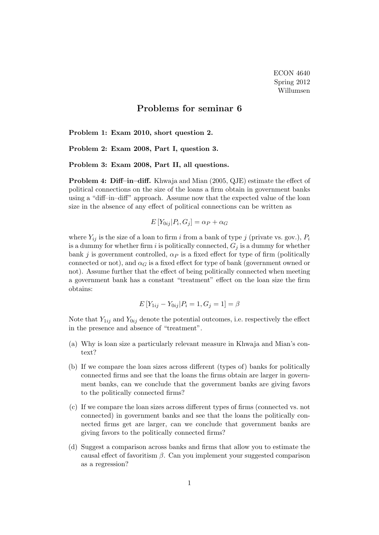## Problems for seminar 6

Problem 1: Exam 2010, short question 2.

Problem 2: Exam 2008, Part I, question 3.

Problem 3: Exam 2008, Part II, all questions.

Problem 4: Diff–in–diff. Khwaja and Mian (2005, QJE) estimate the effect of political connections on the size of the loans a firm obtain in government banks using a "diff–in–diff" approach. Assume now that the expected value of the loan size in the absence of any effect of political connections can be written as

$$
E[Y_{0ij}|P_i, G_j] = \alpha_P + \alpha_G
$$

where  $Y_{ij}$  is the size of a loan to firm i from a bank of type j (private vs. gov.),  $P_i$ is a dummy for whether firm i is politically connected,  $G_j$  is a dummy for whether bank j is government controlled,  $\alpha_P$  is a fixed effect for type of firm (politically connected or not), and  $\alpha_G$  is a fixed effect for type of bank (government owned or not). Assume further that the effect of being politically connected when meeting a government bank has a constant "treatment" effect on the loan size the firm obtains:

$$
E[Y_{1ij} - Y_{0ij} | P_i = 1, G_j = 1] = \beta
$$

Note that  $Y_{1ij}$  and  $Y_{0ij}$  denote the potential outcomes, i.e. respectively the effect in the presence and absence of "treatment".

- (a) Why is loan size a particularly relevant measure in Khwaja and Mian's context?
- (b) If we compare the loan sizes across different (types of) banks for politically connected firms and see that the loans the firms obtain are larger in government banks, can we conclude that the government banks are giving favors to the politically connected firms?
- (c) If we compare the loan sizes across different types of firms (connected vs. not connected) in government banks and see that the loans the politically connected firms get are larger, can we conclude that government banks are giving favors to the politically connected firms?
- (d) Suggest a comparison across banks and firms that allow you to estimate the causal effect of favoritism  $\beta$ . Can you implement your suggested comparison as a regression?